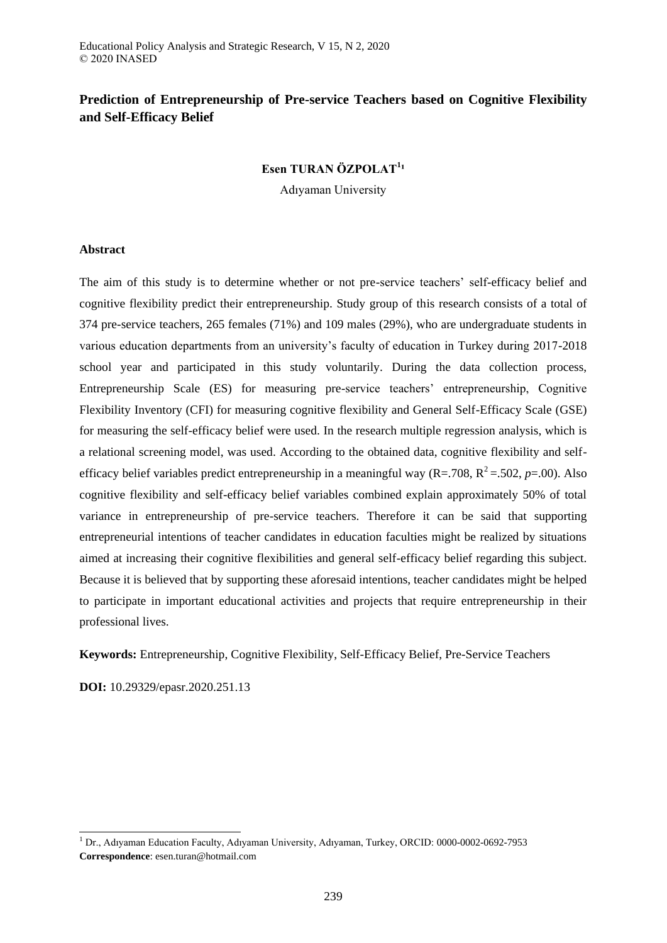# **Prediction of Entrepreneurship of Pre-service Teachers based on Cognitive Flexibility and Self-Efficacy Belief**

# **Esen TURAN ÖZPOLAT<sup>1</sup> ¹**

Adıyaman University

### **Abstract**

The aim of this study is to determine whether or not pre-service teachers' self-efficacy belief and cognitive flexibility predict their entrepreneurship. Study group of this research consists of a total of 374 pre-service teachers, 265 females (71%) and 109 males (29%), who are undergraduate students in various education departments from an university's faculty of education in Turkey during 2017-2018 school year and participated in this study voluntarily. During the data collection process, Entrepreneurship Scale (ES) for measuring pre-service teachers' entrepreneurship, Cognitive Flexibility Inventory (CFI) for measuring cognitive flexibility and General Self-Efficacy Scale (GSE) for measuring the self-efficacy belief were used. In the research multiple regression analysis, which is a relational screening model, was used. According to the obtained data, cognitive flexibility and selfefficacy belief variables predict entrepreneurship in a meaningful way  $(R=.708, R^2=.502, p=.00)$ . Also cognitive flexibility and self-efficacy belief variables combined explain approximately 50% of total variance in entrepreneurship of pre-service teachers. Therefore it can be said that supporting entrepreneurial intentions of teacher candidates in education faculties might be realized by situations aimed at increasing their cognitive flexibilities and general self-efficacy belief regarding this subject. Because it is believed that by supporting these aforesaid intentions, teacher candidates might be helped to participate in important educational activities and projects that require entrepreneurship in their professional lives.

**Keywords:** Entrepreneurship, Cognitive Flexibility, Self-Efficacy Belief, Pre-Service Teachers

**DOI:** 10.29329/epasr.2020.251.13

-

<sup>1</sup> Dr., Adıyaman Education Faculty, Adıyaman University, Adıyaman, Turkey, ORCID: 0000-0002-0692-7953 **Correspondence**: esen.turan@hotmail.com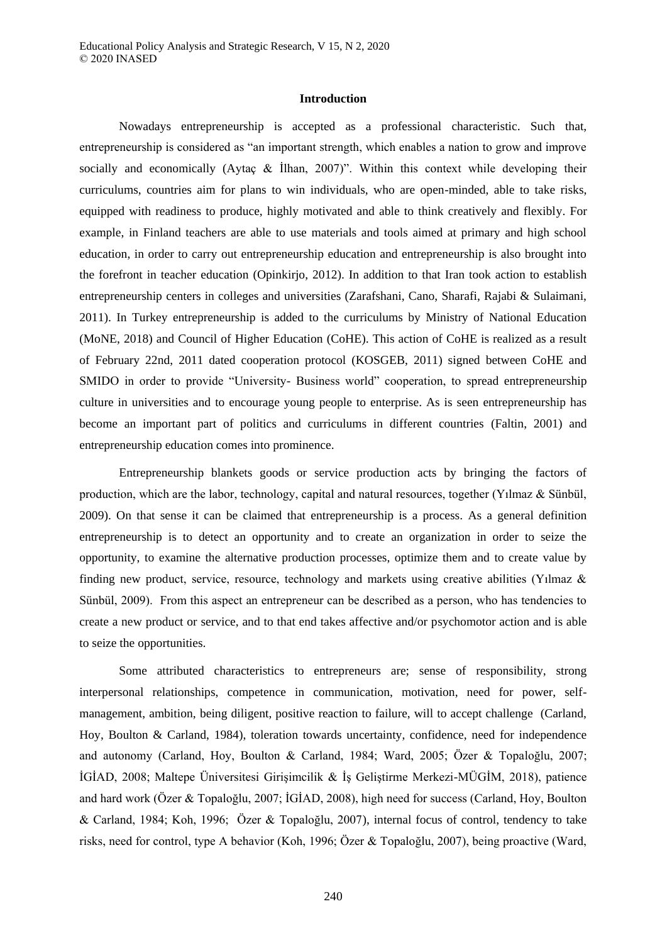### **Introduction**

Nowadays entrepreneurship is accepted as a professional characteristic. Such that, entrepreneurship is considered as "an important strength, which enables a nation to grow and improve socially and economically (Aytac  $\&$  Ilhan, 2007)". Within this context while developing their curriculums, countries aim for plans to win individuals, who are open-minded, able to take risks, equipped with readiness to produce, highly motivated and able to think creatively and flexibly. For example, in Finland teachers are able to use materials and tools aimed at primary and high school education, in order to carry out entrepreneurship education and entrepreneurship is also brought into the forefront in teacher education (Opinkirjo, 2012). In addition to that Iran took action to establish entrepreneurship centers in colleges and universities (Zarafshani, Cano, Sharafi, Rajabi & Sulaimani, 2011). In Turkey entrepreneurship is added to the curriculums by Ministry of National Education (MoNE, 2018) and Council of Higher Education (CoHE). This action of CoHE is realized as a result of February 22nd, 2011 dated cooperation protocol (KOSGEB, 2011) signed between CoHE and SMIDO in order to provide "University- Business world" cooperation, to spread entrepreneurship culture in universities and to encourage young people to enterprise. As is seen entrepreneurship has become an important part of politics and curriculums in different countries (Faltin, 2001) and entrepreneurship education comes into prominence.

Entrepreneurship blankets goods or service production acts by bringing the factors of production, which are the labor, technology, capital and natural resources, together (Yılmaz & Sünbül, 2009). On that sense it can be claimed that entrepreneurship is a process. As a general definition entrepreneurship is to detect an opportunity and to create an organization in order to seize the opportunity, to examine the alternative production processes, optimize them and to create value by finding new product, service, resource, technology and markets using creative abilities (Yılmaz & Sünbül, 2009). From this aspect an entrepreneur can be described as a person, who has tendencies to create a new product or service, and to that end takes affective and/or psychomotor action and is able to seize the opportunities.

Some attributed characteristics to entrepreneurs are; sense of responsibility, strong interpersonal relationships, competence in communication, motivation, need for power, selfmanagement, ambition, being diligent, positive reaction to failure, will to accept challenge (Carland, Hoy, Boulton & Carland, 1984), toleration towards uncertainty, confidence, need for independence and autonomy (Carland, Hoy, Boulton & Carland, 1984; Ward, 2005; Özer & Topaloğlu, 2007; İGİAD, 2008; Maltepe Üniversitesi Girişimcilik & İş Geliştirme Merkezi-MÜGİM, 2018), patience and hard work (Özer & Topaloğlu, 2007; İGİAD, 2008), high need for success (Carland, Hoy, Boulton & Carland, 1984; Koh, 1996; Özer & Topaloğlu, 2007), internal focus of control, tendency to take risks, need for control, type A behavior (Koh, 1996; Özer & Topaloğlu, 2007), being proactive (Ward,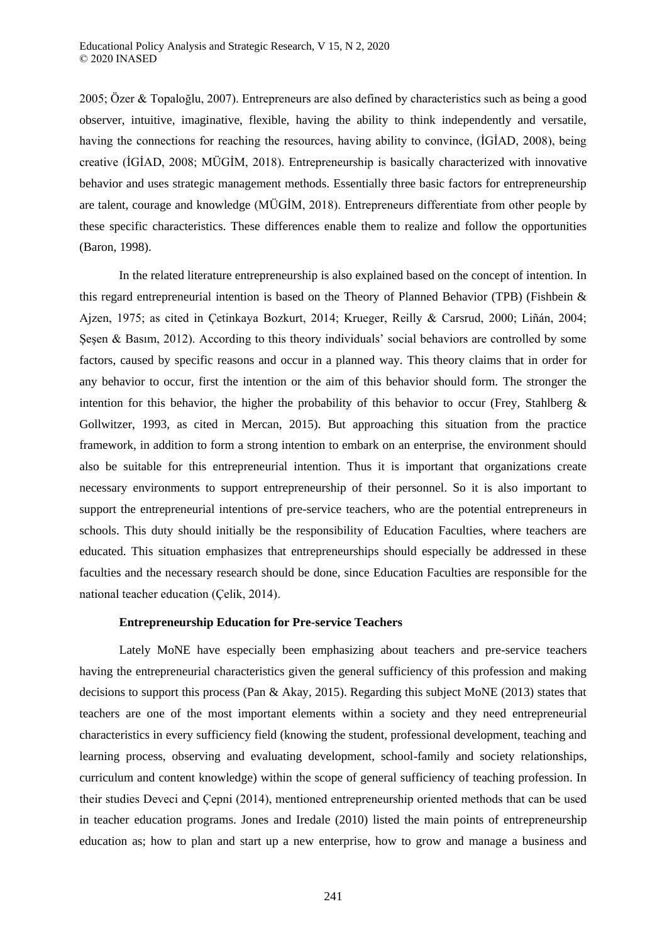2005; Özer & Topaloğlu, 2007). Entrepreneurs are also defined by characteristics such as being a good observer, intuitive, imaginative, flexible, having the ability to think independently and versatile, having the connections for reaching the resources, having ability to convince, (İGİAD, 2008), being creative (İGİAD, 2008; MÜGİM, 2018). Entrepreneurship is basically characterized with innovative behavior and uses strategic management methods. Essentially three basic factors for entrepreneurship are talent, courage and knowledge (MÜGİM, 2018). Entrepreneurs differentiate from other people by these specific characteristics. These differences enable them to realize and follow the opportunities (Baron, 1998).

In the related literature entrepreneurship is also explained based on the concept of intention. In this regard entrepreneurial intention is based on the Theory of Planned Behavior (TPB) (Fishbein & Ajzen, 1975; as cited in Çetinkaya Bozkurt, 2014; Krueger, Reilly & Carsrud, 2000; Liñán, 2004; Şeşen & Basım, 2012). According to this theory individuals' social behaviors are controlled by some factors, caused by specific reasons and occur in a planned way. This theory claims that in order for any behavior to occur, first the intention or the aim of this behavior should form. The stronger the intention for this behavior, the higher the probability of this behavior to occur (Frey, Stahlberg & Gollwitzer, 1993, as cited in Mercan, 2015). But approaching this situation from the practice framework, in addition to form a strong intention to embark on an enterprise, the environment should also be suitable for this entrepreneurial intention. Thus it is important that organizations create necessary environments to support entrepreneurship of their personnel. So it is also important to support the entrepreneurial intentions of pre-service teachers, who are the potential entrepreneurs in schools. This duty should initially be the responsibility of Education Faculties, where teachers are educated. This situation emphasizes that entrepreneurships should especially be addressed in these faculties and the necessary research should be done, since Education Faculties are responsible for the national teacher education (Çelik, 2014).

### **Entrepreneurship Education for Pre-service Teachers**

Lately MoNE have especially been emphasizing about teachers and pre-service teachers having the entrepreneurial characteristics given the general sufficiency of this profession and making decisions to support this process (Pan & Akay, 2015). Regarding this subject MoNE (2013) states that teachers are one of the most important elements within a society and they need entrepreneurial characteristics in every sufficiency field (knowing the student, professional development, teaching and learning process, observing and evaluating development, school-family and society relationships, curriculum and content knowledge) within the scope of general sufficiency of teaching profession. In their studies Deveci and Çepni (2014), mentioned entrepreneurship oriented methods that can be used in teacher education programs. Jones and Iredale (2010) listed the main points of entrepreneurship education as; how to plan and start up a new enterprise, how to grow and manage a business and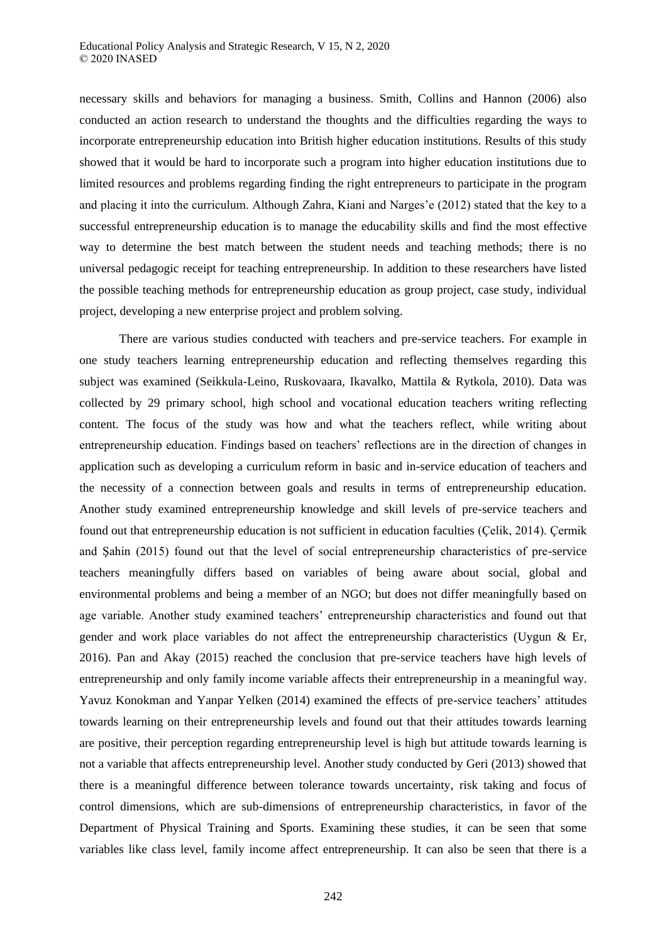necessary skills and behaviors for managing a business. Smith, Collins and Hannon (2006) also conducted an action research to understand the thoughts and the difficulties regarding the ways to incorporate entrepreneurship education into British higher education institutions. Results of this study showed that it would be hard to incorporate such a program into higher education institutions due to limited resources and problems regarding finding the right entrepreneurs to participate in the program and placing it into the curriculum. Although Zahra, Kiani and Narges'e (2012) stated that the key to a successful entrepreneurship education is to manage the educability skills and find the most effective way to determine the best match between the student needs and teaching methods; there is no universal pedagogic receipt for teaching entrepreneurship. In addition to these researchers have listed the possible teaching methods for entrepreneurship education as group project, case study, individual project, developing a new enterprise project and problem solving.

There are various studies conducted with teachers and pre-service teachers. For example in one study teachers learning entrepreneurship education and reflecting themselves regarding this subject was examined (Seikkula-Leino, Ruskovaara, Ikavalko, Mattila & Rytkola, 2010). Data was collected by 29 primary school, high school and vocational education teachers writing reflecting content. The focus of the study was how and what the teachers reflect, while writing about entrepreneurship education. Findings based on teachers' reflections are in the direction of changes in application such as developing a curriculum reform in basic and in-service education of teachers and the necessity of a connection between goals and results in terms of entrepreneurship education. Another study examined entrepreneurship knowledge and skill levels of pre-service teachers and found out that entrepreneurship education is not sufficient in education faculties (Çelik, 2014). Çermik and Şahin (2015) found out that the level of social entrepreneurship characteristics of pre-service teachers meaningfully differs based on variables of being aware about social, global and environmental problems and being a member of an NGO; but does not differ meaningfully based on age variable. Another study examined teachers' entrepreneurship characteristics and found out that gender and work place variables do not affect the entrepreneurship characteristics (Uygun & Er, 2016). Pan and Akay (2015) reached the conclusion that pre-service teachers have high levels of entrepreneurship and only family income variable affects their entrepreneurship in a meaningful way. Yavuz Konokman and Yanpar Yelken (2014) examined the effects of pre-service teachers' attitudes towards learning on their entrepreneurship levels and found out that their attitudes towards learning are positive, their perception regarding entrepreneurship level is high but attitude towards learning is not a variable that affects entrepreneurship level. Another study conducted by Geri (2013) showed that there is a meaningful difference between tolerance towards uncertainty, risk taking and focus of control dimensions, which are sub-dimensions of entrepreneurship characteristics, in favor of the Department of Physical Training and Sports. Examining these studies, it can be seen that some variables like class level, family income affect entrepreneurship. It can also be seen that there is a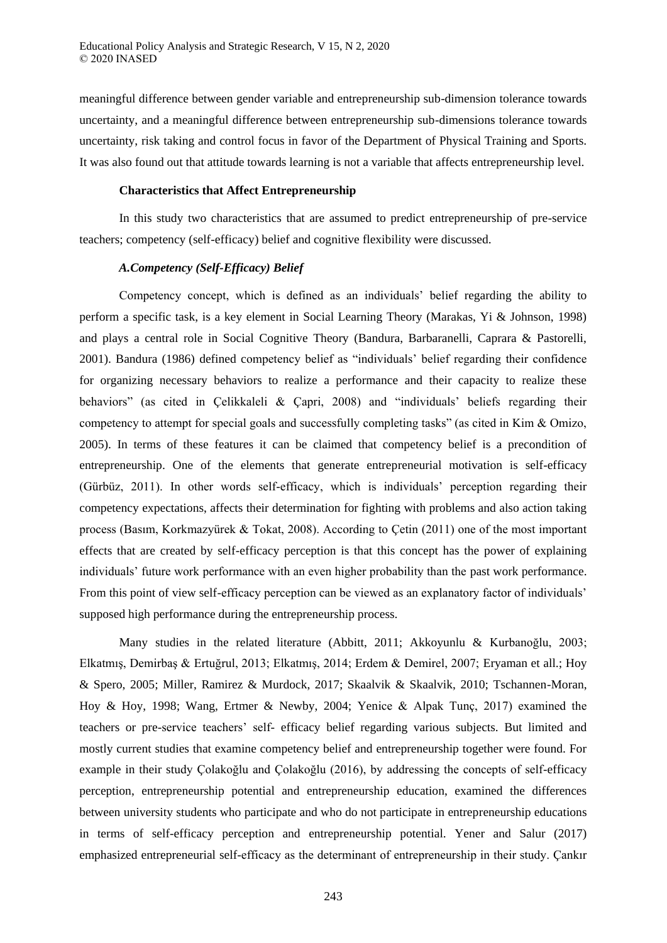meaningful difference between gender variable and entrepreneurship sub-dimension tolerance towards uncertainty, and a meaningful difference between entrepreneurship sub-dimensions tolerance towards uncertainty, risk taking and control focus in favor of the Department of Physical Training and Sports. It was also found out that attitude towards learning is not a variable that affects entrepreneurship level.

# **Characteristics that Affect Entrepreneurship**

In this study two characteristics that are assumed to predict entrepreneurship of pre-service teachers; competency (self-efficacy) belief and cognitive flexibility were discussed.

# *A.Competency (Self-Efficacy) Belief*

Competency concept, which is defined as an individuals' belief regarding the ability to perform a specific task, is a key element in Social Learning Theory (Marakas, Yi & Johnson, 1998) and plays a central role in Social Cognitive Theory (Bandura, Barbaranelli, Caprara & Pastorelli, 2001). Bandura (1986) defined competency belief as "individuals' belief regarding their confidence for organizing necessary behaviors to realize a performance and their capacity to realize these behaviors" (as cited in Çelikkaleli & Çapri, 2008) and "individuals' beliefs regarding their competency to attempt for special goals and successfully completing tasks" (as cited in Kim & Omizo, 2005). In terms of these features it can be claimed that competency belief is a precondition of entrepreneurship. One of the elements that generate entrepreneurial motivation is self-efficacy (Gürbüz, 2011). In other words self-efficacy, which is individuals' perception regarding their competency expectations, affects their determination for fighting with problems and also action taking process (Basım, Korkmazyürek & Tokat, 2008). According to Çetin (2011) one of the most important effects that are created by self-efficacy perception is that this concept has the power of explaining individuals' future work performance with an even higher probability than the past work performance. From this point of view self-efficacy perception can be viewed as an explanatory factor of individuals' supposed high performance during the entrepreneurship process.

Many studies in the related literature (Abbitt, 2011; Akkoyunlu & Kurbanoğlu, 2003; Elkatmış, Demirbaş & Ertuğrul, 2013; Elkatmış, 2014; Erdem & Demirel, 2007; Eryaman et all.; Hoy & Spero, 2005; Miller, Ramirez & Murdock, 2017; Skaalvik & Skaalvik, 2010; Tschannen-Moran, Hoy & Hoy, 1998; Wang, Ertmer & Newby, 2004; Yenice & Alpak Tunç, 2017) examined the teachers or pre-service teachers' self- efficacy belief regarding various subjects. But limited and mostly current studies that examine competency belief and entrepreneurship together were found. For example in their study Çolakoğlu and Çolakoğlu (2016), by addressing the concepts of self-efficacy perception, entrepreneurship potential and entrepreneurship education, examined the differences between university students who participate and who do not participate in entrepreneurship educations in terms of self-efficacy perception and entrepreneurship potential. Yener and Salur (2017) emphasized entrepreneurial self-efficacy as the determinant of entrepreneurship in their study. Çankır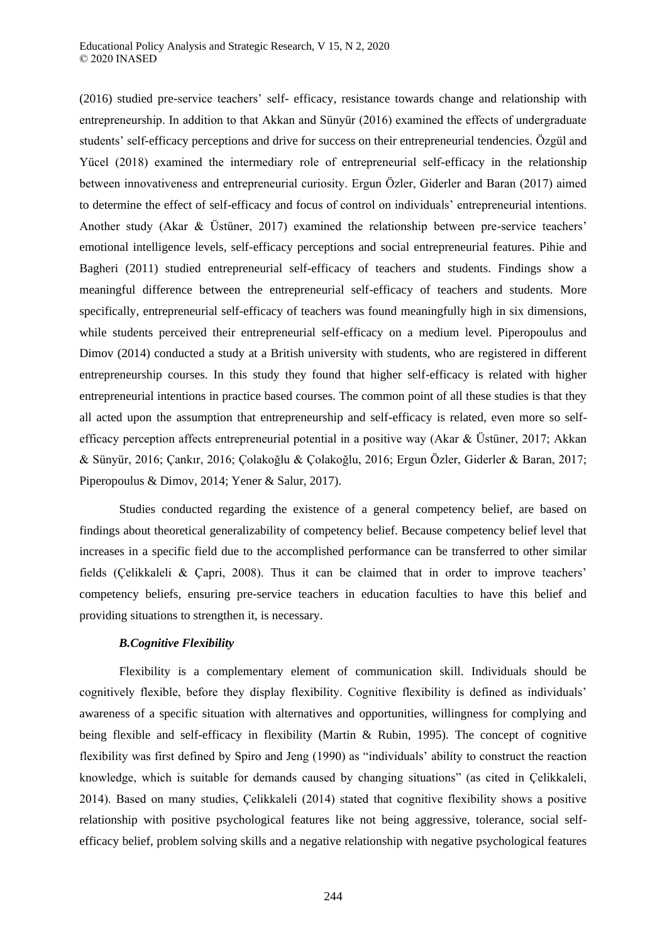(2016) studied pre-service teachers' self- efficacy, resistance towards change and relationship with entrepreneurship. In addition to that Akkan and Sünyür (2016) examined the effects of undergraduate students' self-efficacy perceptions and drive for success on their entrepreneurial tendencies. Özgül and Yücel (2018) examined the intermediary role of entrepreneurial self-efficacy in the relationship between innovativeness and entrepreneurial curiosity. Ergun Özler, Giderler and Baran (2017) aimed to determine the effect of self-efficacy and focus of control on individuals' entrepreneurial intentions. Another study (Akar & Üstüner, 2017) examined the relationship between pre-service teachers' emotional intelligence levels, self-efficacy perceptions and social entrepreneurial features. Pihie and Bagheri (2011) studied entrepreneurial self-efficacy of teachers and students. Findings show a meaningful difference between the entrepreneurial self-efficacy of teachers and students. More specifically, entrepreneurial self-efficacy of teachers was found meaningfully high in six dimensions, while students perceived their entrepreneurial self-efficacy on a medium level. Piperopoulus and Dimov (2014) conducted a study at a British university with students, who are registered in different entrepreneurship courses. In this study they found that higher self-efficacy is related with higher entrepreneurial intentions in practice based courses. The common point of all these studies is that they all acted upon the assumption that entrepreneurship and self-efficacy is related, even more so selfefficacy perception affects entrepreneurial potential in a positive way (Akar & Üstüner, 2017; Akkan & Sünyür, 2016; Çankır, 2016; Çolakoğlu & Çolakoğlu, 2016; Ergun Özler, Giderler & Baran, 2017; Piperopoulus & Dimov, 2014; Yener & Salur, 2017).

Studies conducted regarding the existence of a general competency belief, are based on findings about theoretical generalizability of competency belief. Because competency belief level that increases in a specific field due to the accomplished performance can be transferred to other similar fields (Çelikkaleli & Çapri, 2008). Thus it can be claimed that in order to improve teachers' competency beliefs, ensuring pre-service teachers in education faculties to have this belief and providing situations to strengthen it, is necessary.

# *B.Cognitive Flexibility*

Flexibility is a complementary element of communication skill. Individuals should be cognitively flexible, before they display flexibility. Cognitive flexibility is defined as individuals' awareness of a specific situation with alternatives and opportunities, willingness for complying and being flexible and self-efficacy in flexibility (Martin & Rubin, 1995). The concept of cognitive flexibility was first defined by Spiro and Jeng (1990) as "individuals' ability to construct the reaction knowledge, which is suitable for demands caused by changing situations" (as cited in Çelikkaleli, 2014). Based on many studies, Çelikkaleli (2014) stated that cognitive flexibility shows a positive relationship with positive psychological features like not being aggressive, tolerance, social selfefficacy belief, problem solving skills and a negative relationship with negative psychological features

244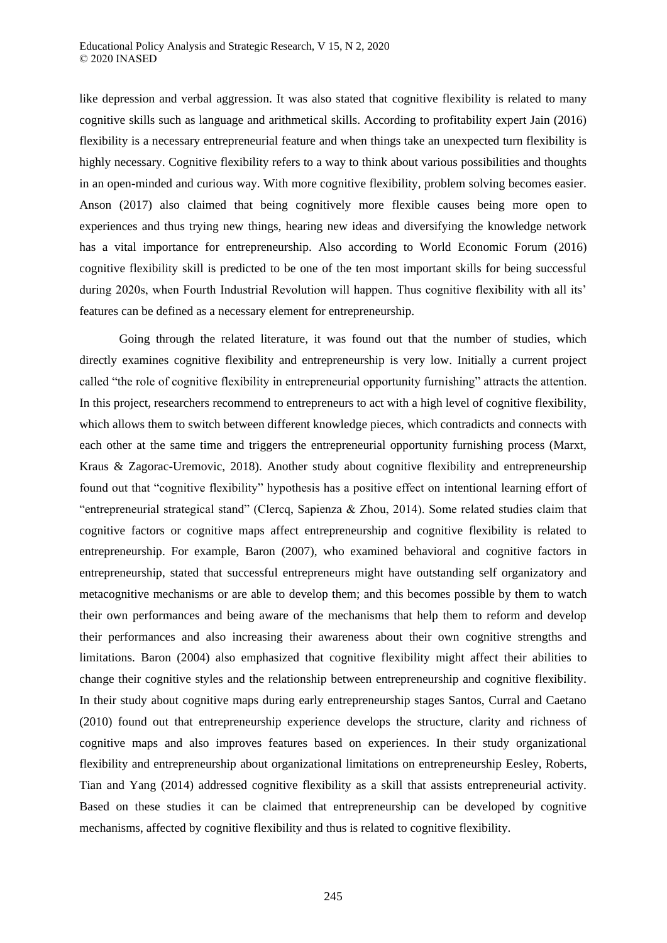like depression and verbal aggression. It was also stated that cognitive flexibility is related to many cognitive skills such as language and arithmetical skills. According to profitability expert Jain (2016) flexibility is a necessary entrepreneurial feature and when things take an unexpected turn flexibility is highly necessary. Cognitive flexibility refers to a way to think about various possibilities and thoughts in an open-minded and curious way. With more cognitive flexibility, problem solving becomes easier. Anson (2017) also claimed that being cognitively more flexible causes being more open to experiences and thus trying new things, hearing new ideas and diversifying the knowledge network has a vital importance for entrepreneurship. Also according to World Economic Forum (2016) cognitive flexibility skill is predicted to be one of the ten most important skills for being successful during 2020s, when Fourth Industrial Revolution will happen. Thus cognitive flexibility with all its' features can be defined as a necessary element for entrepreneurship.

Going through the related literature, it was found out that the number of studies, which directly examines cognitive flexibility and entrepreneurship is very low. Initially a current project called "the role of cognitive flexibility in entrepreneurial opportunity furnishing" attracts the attention. In this project, researchers recommend to entrepreneurs to act with a high level of cognitive flexibility, which allows them to switch between different knowledge pieces, which contradicts and connects with each other at the same time and triggers the entrepreneurial opportunity furnishing process (Marxt, Kraus & Zagorac-Uremovic, 2018). Another study about cognitive flexibility and entrepreneurship found out that "cognitive flexibility" hypothesis has a positive effect on intentional learning effort of "entrepreneurial strategical stand" (Clercq, Sapienza & Zhou, 2014). Some related studies claim that cognitive factors or cognitive maps affect entrepreneurship and cognitive flexibility is related to entrepreneurship. For example, Baron (2007), who examined behavioral and cognitive factors in entrepreneurship, stated that successful entrepreneurs might have outstanding self organizatory and metacognitive mechanisms or are able to develop them; and this becomes possible by them to watch their own performances and being aware of the mechanisms that help them to reform and develop their performances and also increasing their awareness about their own cognitive strengths and limitations. Baron (2004) also emphasized that cognitive flexibility might affect their abilities to change their cognitive styles and the relationship between entrepreneurship and cognitive flexibility. In their study about cognitive maps during early entrepreneurship stages Santos, Curral and Caetano (2010) found out that entrepreneurship experience develops the structure, clarity and richness of cognitive maps and also improves features based on experiences. In their study organizational flexibility and entrepreneurship about organizational limitations on entrepreneurship Eesley, Roberts, Tian and Yang (2014) addressed cognitive flexibility as a skill that assists entrepreneurial activity. Based on these studies it can be claimed that entrepreneurship can be developed by cognitive mechanisms, affected by cognitive flexibility and thus is related to cognitive flexibility.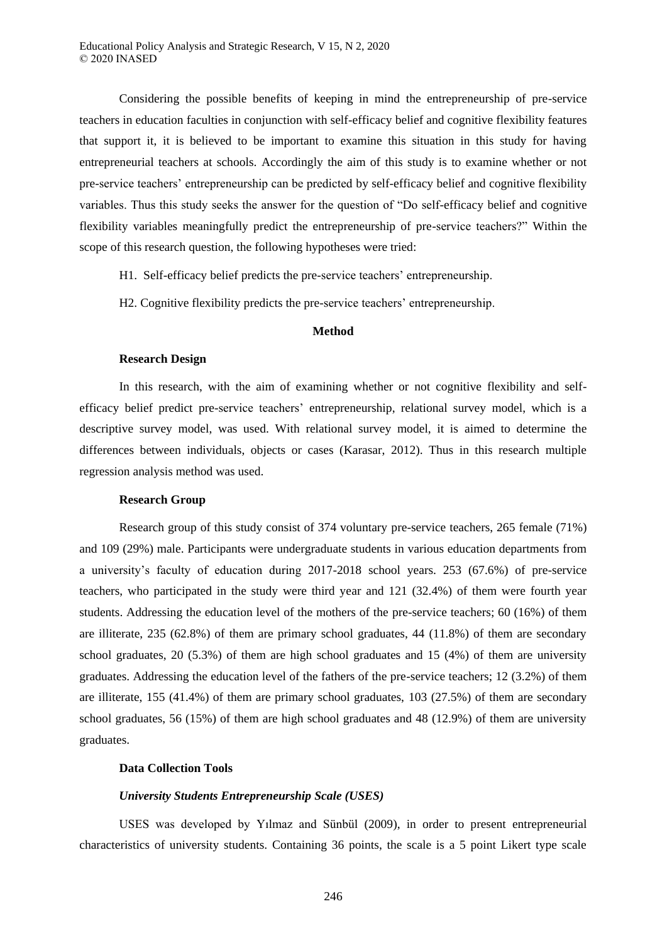Considering the possible benefits of keeping in mind the entrepreneurship of pre-service teachers in education faculties in conjunction with self-efficacy belief and cognitive flexibility features that support it, it is believed to be important to examine this situation in this study for having entrepreneurial teachers at schools. Accordingly the aim of this study is to examine whether or not pre-service teachers' entrepreneurship can be predicted by self-efficacy belief and cognitive flexibility variables. Thus this study seeks the answer for the question of "Do self-efficacy belief and cognitive flexibility variables meaningfully predict the entrepreneurship of pre-service teachers?" Within the scope of this research question, the following hypotheses were tried:

H1. Self-efficacy belief predicts the pre-service teachers' entrepreneurship.

H2. Cognitive flexibility predicts the pre-service teachers' entrepreneurship.

# **Method**

#### **Research Design**

In this research, with the aim of examining whether or not cognitive flexibility and selfefficacy belief predict pre-service teachers' entrepreneurship, relational survey model, which is a descriptive survey model, was used. With relational survey model, it is aimed to determine the differences between individuals, objects or cases (Karasar, 2012). Thus in this research multiple regression analysis method was used.

#### **Research Group**

Research group of this study consist of 374 voluntary pre-service teachers, 265 female (71%) and 109 (29%) male. Participants were undergraduate students in various education departments from a university's faculty of education during 2017-2018 school years. 253 (67.6%) of pre-service teachers, who participated in the study were third year and 121 (32.4%) of them were fourth year students. Addressing the education level of the mothers of the pre-service teachers; 60 (16%) of them are illiterate, 235 (62.8%) of them are primary school graduates, 44 (11.8%) of them are secondary school graduates, 20 (5.3%) of them are high school graduates and 15 (4%) of them are university graduates. Addressing the education level of the fathers of the pre-service teachers; 12 (3.2%) of them are illiterate, 155 (41.4%) of them are primary school graduates, 103 (27.5%) of them are secondary school graduates, 56 (15%) of them are high school graduates and 48 (12.9%) of them are university graduates.

## **Data Collection Tools**

## *University Students Entrepreneurship Scale (USES)*

USES was developed by Yılmaz and Sünbül (2009), in order to present entrepreneurial characteristics of university students. Containing 36 points, the scale is a 5 point Likert type scale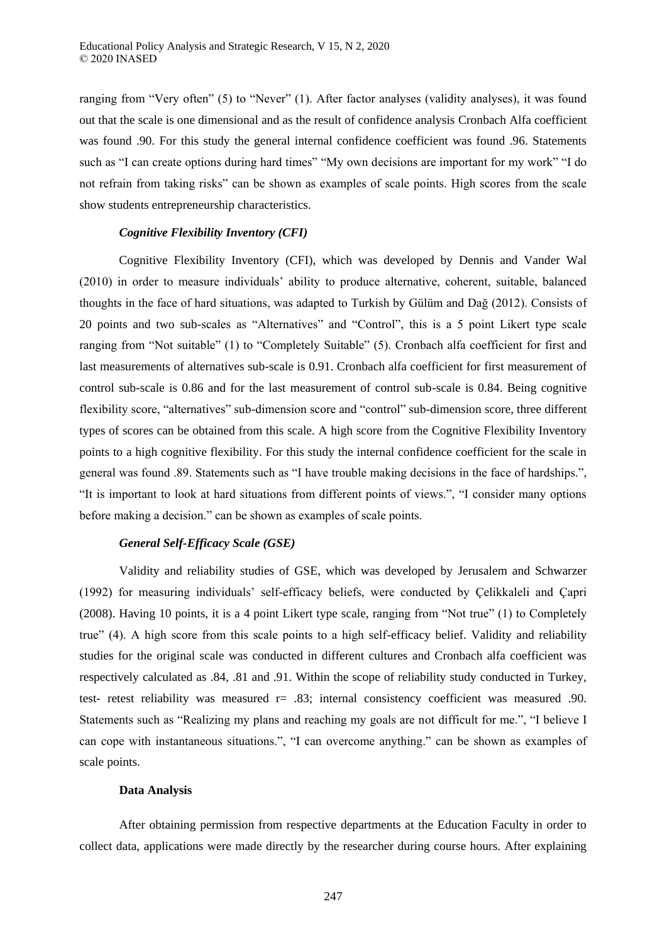ranging from "Very often" (5) to "Never" (1). After factor analyses (validity analyses), it was found out that the scale is one dimensional and as the result of confidence analysis Cronbach Alfa coefficient was found .90. For this study the general internal confidence coefficient was found .96. Statements such as "I can create options during hard times" "My own decisions are important for my work" "I do not refrain from taking risks" can be shown as examples of scale points. High scores from the scale show students entrepreneurship characteristics.

### *Cognitive Flexibility Inventory (CFI)*

Cognitive Flexibility Inventory (CFI), which was developed by Dennis and Vander Wal (2010) in order to measure individuals' ability to produce alternative, coherent, suitable, balanced thoughts in the face of hard situations, was adapted to Turkish by Gülüm and Dağ (2012). Consists of 20 points and two sub-scales as "Alternatives" and "Control", this is a 5 point Likert type scale ranging from "Not suitable" (1) to "Completely Suitable" (5). Cronbach alfa coefficient for first and last measurements of alternatives sub-scale is 0.91. Cronbach alfa coefficient for first measurement of control sub-scale is 0.86 and for the last measurement of control sub-scale is 0.84. Being cognitive flexibility score, "alternatives" sub-dimension score and "control" sub-dimension score, three different types of scores can be obtained from this scale. A high score from the Cognitive Flexibility Inventory points to a high cognitive flexibility. For this study the internal confidence coefficient for the scale in general was found .89. Statements such as "I have trouble making decisions in the face of hardships.", "It is important to look at hard situations from different points of views.", "I consider many options before making a decision." can be shown as examples of scale points.

#### *General Self-Efficacy Scale (GSE)*

Validity and reliability studies of GSE, which was developed by Jerusalem and Schwarzer (1992) for measuring individuals' self-efficacy beliefs, were conducted by Çelikkaleli and Çapri (2008). Having 10 points, it is a 4 point Likert type scale, ranging from "Not true" (1) to Completely true" (4). A high score from this scale points to a high self-efficacy belief. Validity and reliability studies for the original scale was conducted in different cultures and Cronbach alfa coefficient was respectively calculated as .84, .81 and .91. Within the scope of reliability study conducted in Turkey, test- retest reliability was measured  $r = .83$ ; internal consistency coefficient was measured .90. Statements such as "Realizing my plans and reaching my goals are not difficult for me.", "I believe I can cope with instantaneous situations.", "I can overcome anything." can be shown as examples of scale points.

#### **Data Analysis**

After obtaining permission from respective departments at the Education Faculty in order to collect data, applications were made directly by the researcher during course hours. After explaining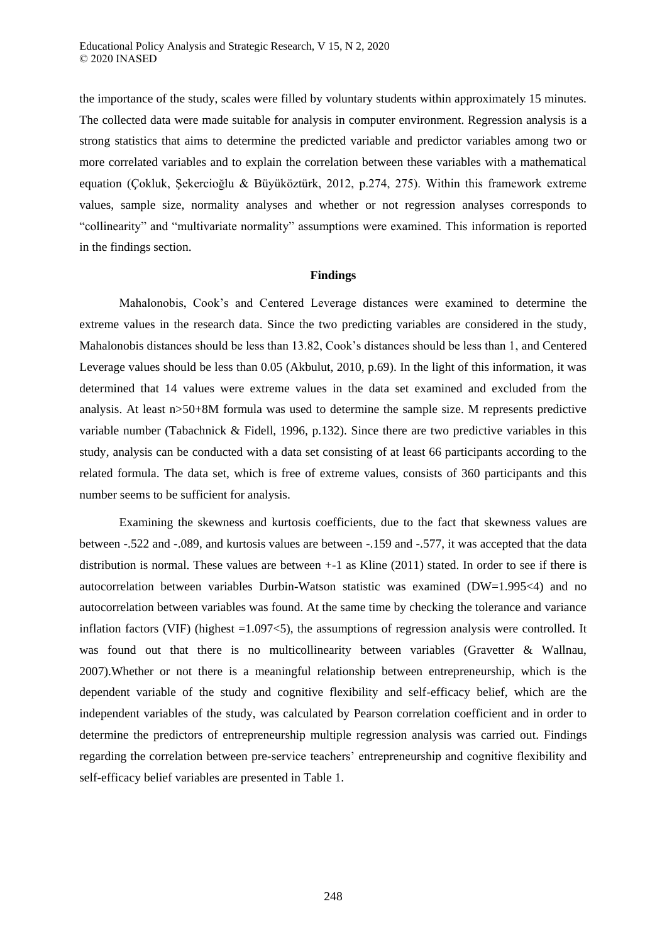the importance of the study, scales were filled by voluntary students within approximately 15 minutes. The collected data were made suitable for analysis in computer environment. Regression analysis is a strong statistics that aims to determine the predicted variable and predictor variables among two or more correlated variables and to explain the correlation between these variables with a mathematical equation (Çokluk, Şekercioğlu & Büyüköztürk, 2012, p.274, 275). Within this framework extreme values, sample size, normality analyses and whether or not regression analyses corresponds to "collinearity" and "multivariate normality" assumptions were examined. This information is reported in the findings section.

#### **Findings**

Mahalonobis, Cook's and Centered Leverage distances were examined to determine the extreme values in the research data. Since the two predicting variables are considered in the study, Mahalonobis distances should be less than 13.82, Cook's distances should be less than 1, and Centered Leverage values should be less than 0.05 (Akbulut, 2010, p.69). In the light of this information, it was determined that 14 values were extreme values in the data set examined and excluded from the analysis. At least n>50+8M formula was used to determine the sample size. M represents predictive variable number (Tabachnick & Fidell, 1996, p.132). Since there are two predictive variables in this study, analysis can be conducted with a data set consisting of at least 66 participants according to the related formula. The data set, which is free of extreme values, consists of 360 participants and this number seems to be sufficient for analysis.

Examining the skewness and kurtosis coefficients, due to the fact that skewness values are between -.522 and -.089, and kurtosis values are between -.159 and -.577, it was accepted that the data distribution is normal. These values are between +-1 as Kline (2011) stated. In order to see if there is autocorrelation between variables Durbin-Watson statistic was examined (DW=1.995<4) and no autocorrelation between variables was found. At the same time by checking the tolerance and variance inflation factors (VIF) (highest =1.097<5), the assumptions of regression analysis were controlled. It was found out that there is no multicollinearity between variables (Gravetter & Wallnau, 2007).Whether or not there is a meaningful relationship between entrepreneurship, which is the dependent variable of the study and cognitive flexibility and self-efficacy belief, which are the independent variables of the study, was calculated by Pearson correlation coefficient and in order to determine the predictors of entrepreneurship multiple regression analysis was carried out. Findings regarding the correlation between pre-service teachers' entrepreneurship and cognitive flexibility and self-efficacy belief variables are presented in Table 1.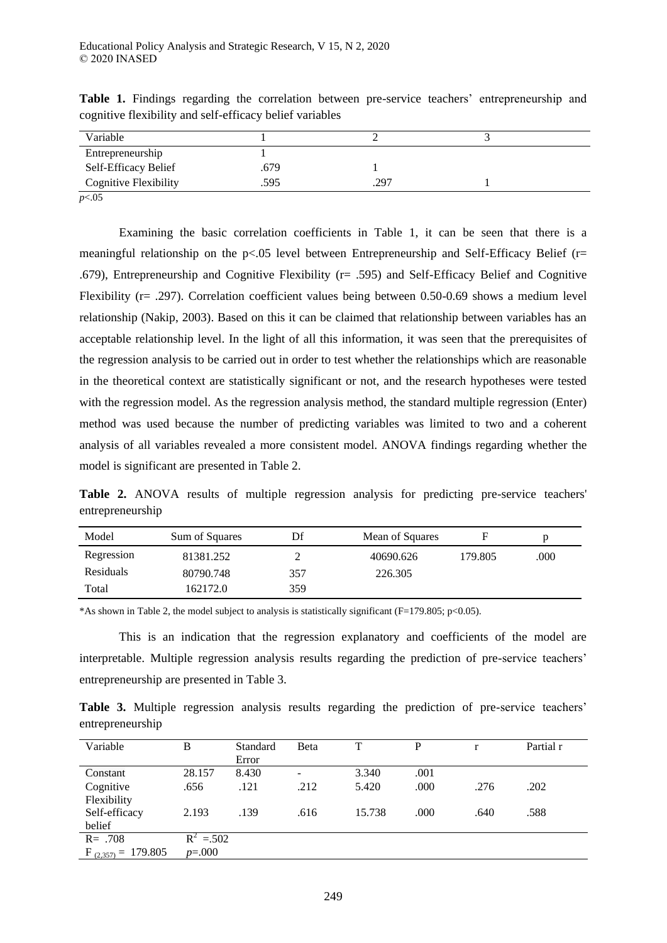| Variable              |      |      |  |
|-----------------------|------|------|--|
| Entrepreneurship      |      |      |  |
| Self-Efficacy Belief  | .679 |      |  |
| Cognitive Flexibility | .595 | .297 |  |

Table 1. Findings regarding the correlation between pre-service teachers' entrepreneurship and cognitive flexibility and self-efficacy belief variables

*p*<.05

Examining the basic correlation coefficients in Table 1, it can be seen that there is a meaningful relationship on the  $p<0.05$  level between Entrepreneurship and Self-Efficacy Belief ( $r=$ .679), Entrepreneurship and Cognitive Flexibility (r= .595) and Self-Efficacy Belief and Cognitive Flexibility (r= .297). Correlation coefficient values being between 0.50-0.69 shows a medium level relationship (Nakip, 2003). Based on this it can be claimed that relationship between variables has an acceptable relationship level. In the light of all this information, it was seen that the prerequisites of the regression analysis to be carried out in order to test whether the relationships which are reasonable in the theoretical context are statistically significant or not, and the research hypotheses were tested with the regression model. As the regression analysis method, the standard multiple regression (Enter) method was used because the number of predicting variables was limited to two and a coherent analysis of all variables revealed a more consistent model. ANOVA findings regarding whether the model is significant are presented in Table 2.

**Table 2.** ANOVA results of multiple regression analysis for predicting pre-service teachers' entrepreneurship

| Model            | Sum of Squares | Df  | Mean of Squares | F       | D    |
|------------------|----------------|-----|-----------------|---------|------|
| Regression       | 81381.252      |     | 40690.626       | 179.805 | .000 |
| <b>Residuals</b> | 80790.748      | 357 | 226.305         |         |      |
| Total            | 162172.0       | 359 |                 |         |      |

\*As shown in Table 2, the model subject to analysis is statistically significant (F=179.805; p<0.05).

This is an indication that the regression explanatory and coefficients of the model are interpretable. Multiple regression analysis results regarding the prediction of pre-service teachers' entrepreneurship are presented in Table 3.

**Table 3.** Multiple regression analysis results regarding the prediction of pre-service teachers' entrepreneurship

| Variable                     | B           | Standard<br>Error | Beta | T      | D    |      | Partial r |
|------------------------------|-------------|-------------------|------|--------|------|------|-----------|
| Constant                     | 28.157      | 8.430             | -    | 3.340  | .001 |      |           |
| Cognitive                    | .656        | .121              | .212 | 5.420  | .000 | .276 | .202      |
| Flexibility<br>Self-efficacy | 2.193       | .139              | .616 | 15.738 | .000 | .640 | .588      |
| belief                       |             |                   |      |        |      |      |           |
| $R = .708$                   | $R^2$ = 502 |                   |      |        |      |      |           |
| $F_{(2,357)} = 179.805$      | $p=.000$    |                   |      |        |      |      |           |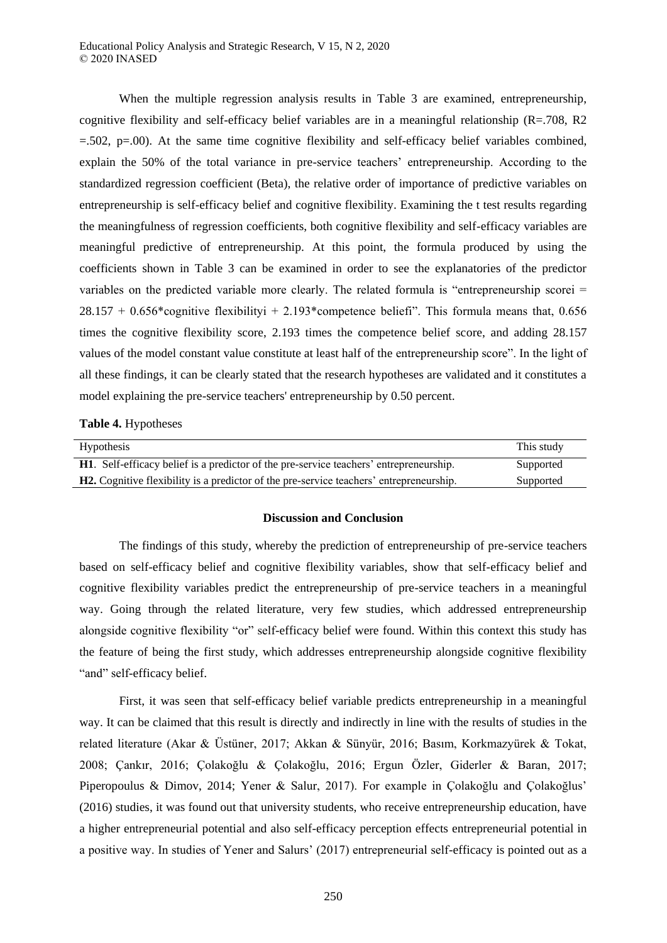When the multiple regression analysis results in Table 3 are examined, entrepreneurship, cognitive flexibility and self-efficacy belief variables are in a meaningful relationship  $(R=.708, R2)$  $=$  502, p=.00). At the same time cognitive flexibility and self-efficacy belief variables combined, explain the 50% of the total variance in pre-service teachers' entrepreneurship. According to the standardized regression coefficient (Beta), the relative order of importance of predictive variables on entrepreneurship is self-efficacy belief and cognitive flexibility. Examining the t test results regarding the meaningfulness of regression coefficients, both cognitive flexibility and self-efficacy variables are meaningful predictive of entrepreneurship. At this point, the formula produced by using the coefficients shown in Table 3 can be examined in order to see the explanatories of the predictor variables on the predicted variable more clearly. The related formula is "entrepreneurship scorei =  $28.157 + 0.656*$ cognitive flexibilityi + 2.193\*competence beliefi". This formula means that, 0.656 times the cognitive flexibility score, 2.193 times the competence belief score, and adding 28.157 values of the model constant value constitute at least half of the entrepreneurship score". In the light of all these findings, it can be clearly stated that the research hypotheses are validated and it constitutes a model explaining the pre-service teachers' entrepreneurship by 0.50 percent.

**Table 4.** Hypotheses

| <b>Hypothesis</b>                                                                              | This study |
|------------------------------------------------------------------------------------------------|------------|
| <b>H1.</b> Self-efficacy belief is a predictor of the pre-service teachers' entrepreneurship.  | Supported  |
| <b>H2.</b> Cognitive flexibility is a predictor of the pre-service teachers' entrepreneurship. | Supported  |

#### **Discussion and Conclusion**

The findings of this study, whereby the prediction of entrepreneurship of pre-service teachers based on self-efficacy belief and cognitive flexibility variables, show that self-efficacy belief and cognitive flexibility variables predict the entrepreneurship of pre-service teachers in a meaningful way. Going through the related literature, very few studies, which addressed entrepreneurship alongside cognitive flexibility "or" self-efficacy belief were found. Within this context this study has the feature of being the first study, which addresses entrepreneurship alongside cognitive flexibility "and" self-efficacy belief.

First, it was seen that self-efficacy belief variable predicts entrepreneurship in a meaningful way. It can be claimed that this result is directly and indirectly in line with the results of studies in the related literature (Akar & Üstüner, 2017; Akkan & Sünyür, 2016; Basım, Korkmazyürek & Tokat, 2008; Çankır, 2016; Çolakoğlu & Çolakoğlu, 2016; Ergun Özler, Giderler & Baran, 2017; Piperopoulus & Dimov, 2014; Yener & Salur, 2017). For example in Çolakoğlu and Çolakoğlus' (2016) studies, it was found out that university students, who receive entrepreneurship education, have a higher entrepreneurial potential and also self-efficacy perception effects entrepreneurial potential in a positive way. In studies of Yener and Salurs' (2017) entrepreneurial self-efficacy is pointed out as a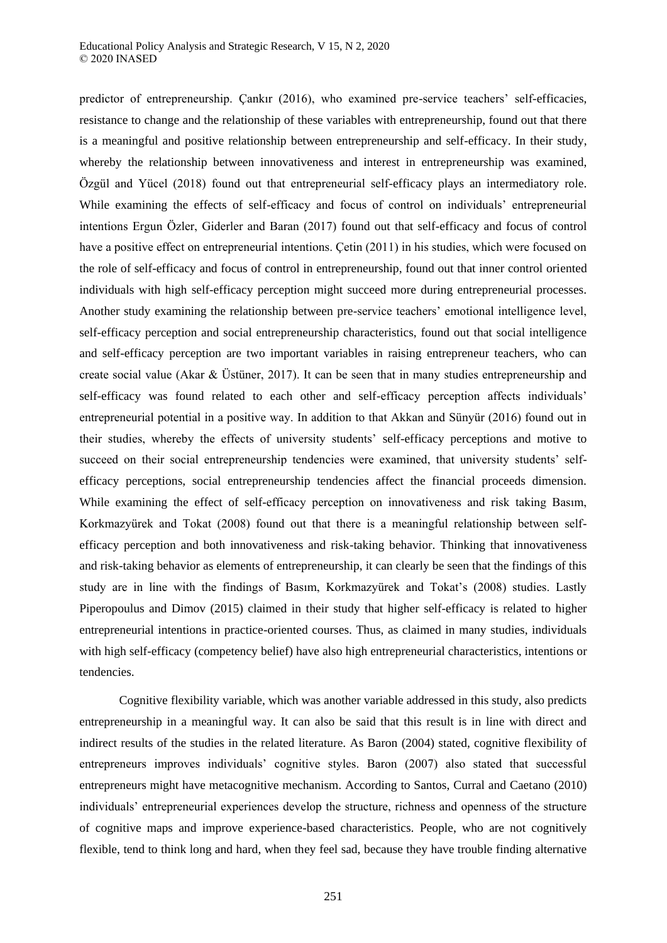predictor of entrepreneurship. Çankır (2016), who examined pre-service teachers' self-efficacies, resistance to change and the relationship of these variables with entrepreneurship, found out that there is a meaningful and positive relationship between entrepreneurship and self-efficacy. In their study, whereby the relationship between innovativeness and interest in entrepreneurship was examined, Özgül and Yücel (2018) found out that entrepreneurial self-efficacy plays an intermediatory role. While examining the effects of self-efficacy and focus of control on individuals' entrepreneurial intentions Ergun Özler, Giderler and Baran (2017) found out that self-efficacy and focus of control have a positive effect on entrepreneurial intentions. Çetin (2011) in his studies, which were focused on the role of self-efficacy and focus of control in entrepreneurship, found out that inner control oriented individuals with high self-efficacy perception might succeed more during entrepreneurial processes. Another study examining the relationship between pre-service teachers' emotional intelligence level, self-efficacy perception and social entrepreneurship characteristics, found out that social intelligence and self-efficacy perception are two important variables in raising entrepreneur teachers, who can create social value (Akar & Üstüner, 2017). It can be seen that in many studies entrepreneurship and self-efficacy was found related to each other and self-efficacy perception affects individuals' entrepreneurial potential in a positive way. In addition to that Akkan and Sünyür (2016) found out in their studies, whereby the effects of university students' self-efficacy perceptions and motive to succeed on their social entrepreneurship tendencies were examined, that university students' selfefficacy perceptions, social entrepreneurship tendencies affect the financial proceeds dimension. While examining the effect of self-efficacy perception on innovativeness and risk taking Basım, Korkmazyürek and Tokat (2008) found out that there is a meaningful relationship between selfefficacy perception and both innovativeness and risk-taking behavior. Thinking that innovativeness and risk-taking behavior as elements of entrepreneurship, it can clearly be seen that the findings of this study are in line with the findings of Basım, Korkmazyürek and Tokat's (2008) studies. Lastly Piperopoulus and Dimov (2015) claimed in their study that higher self-efficacy is related to higher entrepreneurial intentions in practice-oriented courses. Thus, as claimed in many studies, individuals with high self-efficacy (competency belief) have also high entrepreneurial characteristics, intentions or tendencies.

Cognitive flexibility variable, which was another variable addressed in this study, also predicts entrepreneurship in a meaningful way. It can also be said that this result is in line with direct and indirect results of the studies in the related literature. As Baron (2004) stated, cognitive flexibility of entrepreneurs improves individuals' cognitive styles. Baron (2007) also stated that successful entrepreneurs might have metacognitive mechanism. According to Santos, Curral and Caetano (2010) individuals' entrepreneurial experiences develop the structure, richness and openness of the structure of cognitive maps and improve experience-based characteristics. People, who are not cognitively flexible, tend to think long and hard, when they feel sad, because they have trouble finding alternative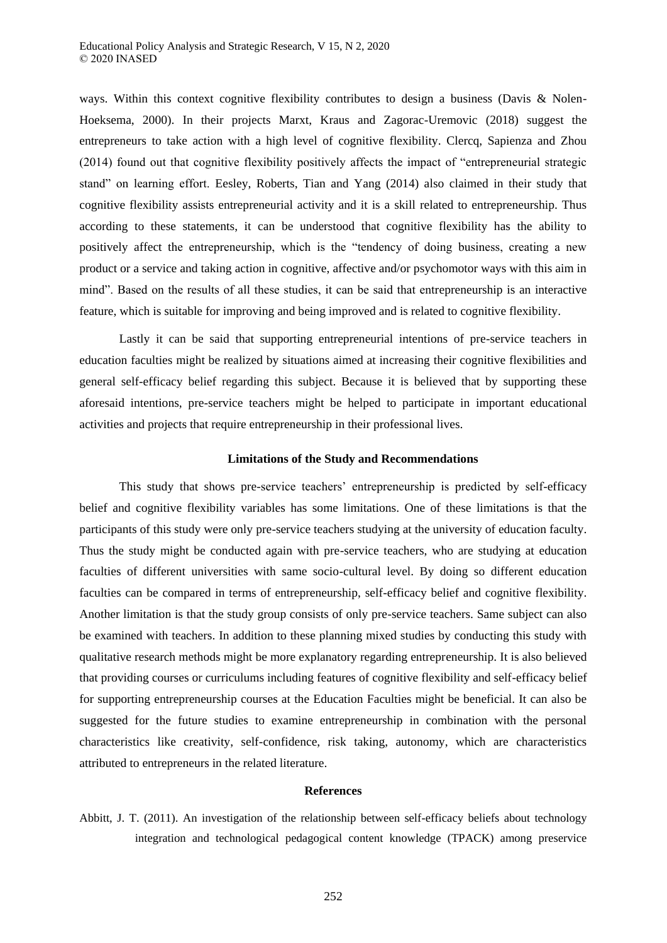ways. Within this context cognitive flexibility contributes to design a business (Davis & Nolen-Hoeksema, 2000). In their projects Marxt, Kraus and Zagorac-Uremovic (2018) suggest the entrepreneurs to take action with a high level of cognitive flexibility. Clercq, Sapienza and Zhou (2014) found out that cognitive flexibility positively affects the impact of "entrepreneurial strategic stand" on learning effort. Eesley, Roberts, Tian and Yang (2014) also claimed in their study that cognitive flexibility assists entrepreneurial activity and it is a skill related to entrepreneurship. Thus according to these statements, it can be understood that cognitive flexibility has the ability to positively affect the entrepreneurship, which is the "tendency of doing business, creating a new product or a service and taking action in cognitive, affective and/or psychomotor ways with this aim in mind". Based on the results of all these studies, it can be said that entrepreneurship is an interactive feature, which is suitable for improving and being improved and is related to cognitive flexibility.

Lastly it can be said that supporting entrepreneurial intentions of pre-service teachers in education faculties might be realized by situations aimed at increasing their cognitive flexibilities and general self-efficacy belief regarding this subject. Because it is believed that by supporting these aforesaid intentions, pre-service teachers might be helped to participate in important educational activities and projects that require entrepreneurship in their professional lives.

### **Limitations of the Study and Recommendations**

This study that shows pre-service teachers' entrepreneurship is predicted by self-efficacy belief and cognitive flexibility variables has some limitations. One of these limitations is that the participants of this study were only pre-service teachers studying at the university of education faculty. Thus the study might be conducted again with pre-service teachers, who are studying at education faculties of different universities with same socio-cultural level. By doing so different education faculties can be compared in terms of entrepreneurship, self-efficacy belief and cognitive flexibility. Another limitation is that the study group consists of only pre-service teachers. Same subject can also be examined with teachers. In addition to these planning mixed studies by conducting this study with qualitative research methods might be more explanatory regarding entrepreneurship. It is also believed that providing courses or curriculums including features of cognitive flexibility and self-efficacy belief for supporting entrepreneurship courses at the Education Faculties might be beneficial. It can also be suggested for the future studies to examine entrepreneurship in combination with the personal characteristics like creativity, self-confidence, risk taking, autonomy, which are characteristics attributed to entrepreneurs in the related literature.

### **References**

Abbitt, J. T. (2011). An investigation of the relationship between self-efficacy beliefs about technology integration and technological pedagogical content knowledge (TPACK) among preservice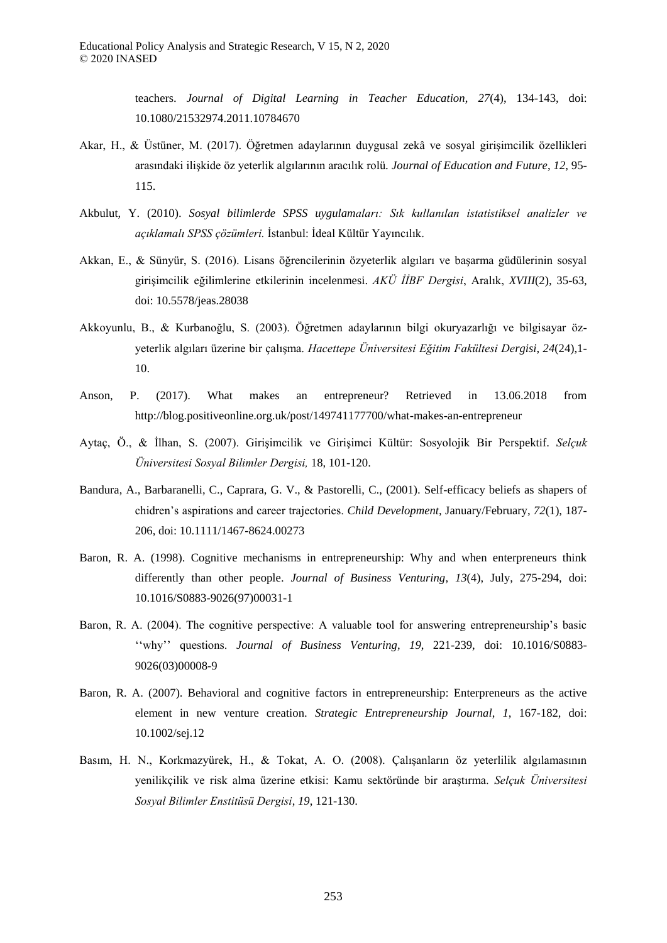teachers. *Journal of Digital Learning in Teacher Education*, *27*(4), 134-143, doi: 10.1080/21532974.2011.10784670

- Akar, H., & Üstüner, M. (2017). Öğretmen adaylarının duygusal zekâ ve sosyal girişimcilik özellikleri arasındaki ilişkide öz yeterlik algılarının aracılık rolü*. Journal of Education and Future*, *12*, 95- 115.
- Akbulut, Y. (2010). *Sosyal bilimlerde SPSS uygulamaları: Sık kullanılan istatistiksel analizler ve açıklamalı SPSS ç zümleri* İstanbul: İdeal Kültür Yayıncılık.
- Akkan, E., & Sünyür, S. (2016). Lisans öğrencilerinin özyeterlik algıları ve başarma güdülerinin sosyal girişimcilik eğilimlerine etkilerinin incelenmesi. *AKÜ İİBF Dergisi*, Aralık, *XVIII*(2), 35-63, doi: 10.5578/jeas.28038
- Akkoyunlu, B., & Kurbanoğlu, S. (2003). Öğretmen adaylarının bilgi okuryazarlığı ve bilgisayar özyeterlik algıları üzerine bir çalışma. *Hacettepe Üniversitesi Eğitim Fakültesi Dergisi*, *24*(24),1- 10.
- Anson, P. (2017). What makes an entrepreneur? Retrieved in 13.06.2018 from http://blog.positiveonline.org.uk/post/149741177700/what-makes-an-entrepreneur
- Aytaç, Ö., & İlhan, S. (2007). Girişimcilik ve Girişimci Kültür: Sosyolojik Bir Perspektif. *Selçuk Üniversitesi Sosyal Bilimler Dergisi,* 18, 101-120.
- Bandura, A., Barbaranelli, C., Caprara, G. V., & Pastorelli, C., (2001). Self-efficacy beliefs as shapers of chidren's aspirations and career trajectories. *Child Development,* January/February, *72*(1), 187- 206, doi: 10.1111/1467-8624.00273
- Baron, R. A. (1998). Cognitive mechanisms in entrepreneurship: Why and when enterpreneurs think differently than other people. *Journal of Business Venturing*, *13*(4), July, 275-294, doi: 10.1016/S0883-9026(97)00031-1
- Baron, R. A. (2004). The cognitive perspective: A valuable tool for answering entrepreneurship's basic ''why'' questions. *Journal of Business Venturing*, *19*, 221-239, doi: 10.1016/S0883- 9026(03)00008-9
- Baron, R. A. (2007). Behavioral and cognitive factors in entrepreneurship: Enterpreneurs as the active element in new venture creation. *Strategic Entrepreneurship Journal*, *1*, 167-182, doi: 10.1002/sej.12
- Basım, H. N., Korkmazyürek, H., & Tokat, A. O. (2008). Çalışanların öz yeterlilik algılamasının yenilikçilik ve risk alma üzerine etkisi: Kamu sektöründe bir araştırma. *Selçuk Üniversitesi Sosyal Bilimler Enstitüsü Dergisi*, *19*, 121-130.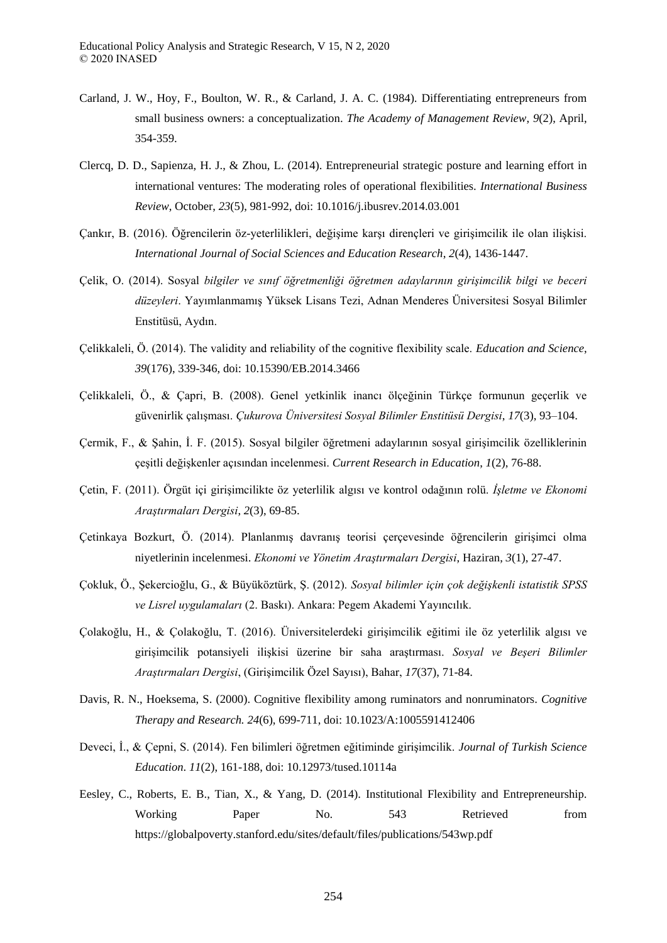- Carland, J. W., Hoy, F., Boulton, W. R., & Carland, J. A. C. (1984). Differentiating entrepreneurs from small business owners: a conceptualization. *The Academy of Management Review*, *9*(2), April, 354-359.
- Clercq, D. D., Sapienza, H. J., & Zhou, L. (2014). Entrepreneurial strategic posture and learning effort in international ventures: The moderating roles of operational flexibilities. *International Business Review*, October, *23*(5), 981-992, doi: 10.1016/j.ibusrev.2014.03.001
- Çankır, B. (2016). Öğrencilerin öz-yeterlilikleri, değişime karşı dirençleri ve girişimcilik ile olan ilişkisi. *International Journal of Social Sciences and Education Research*, *2*(4), 1436-1447.
- Çelik, O. (2014). Sosyal *bilgiler ve sını ğretmenliği ğretmen adaylarının girişimcilik bilgi ve beceri düzeyleri*. Yayımlanmamış Yüksek Lisans Tezi, Adnan Menderes Üniversitesi Sosyal Bilimler Enstitüsü, Aydın.
- Çelikkaleli, Ö. (2014). The validity and reliability of the cognitive flexibility scale. *Education and Science*, *39*(176), 339-346, doi: 10.15390/EB.2014.3466
- Çelikkaleli, Ö., & Çapri, B. (2008). Genel yetkinlik inancı ölçeğinin Türkçe formunun geçerlik ve güvenirlik çalışması. *Çukurova Üniversitesi Sosyal Bilimler Enstitüsü Dergisi*, *17*(3), 93–104.
- Çermik, F., & Şahin, İ. F. (2015). Sosyal bilgiler öğretmeni adaylarının sosyal girişimcilik özelliklerinin çeşitli değişkenler açısından incelenmesi. *Current Research in Education*, *1*(2), 76-88.
- Çetin, F. (2011). Örgüt içi girişimcilikte öz yeterlilik algısı ve kontrol odağının rolü. *İşletme ve Ekonomi Araştırmaları Dergisi*, *2*(3), 69-85.
- Çetinkaya Bozkurt, Ö. (2014). Planlanmış davranış teorisi çerçevesinde öğrencilerin girişimci olma niyetlerinin incelenmesi. *Ekonomi ve Y netim Araştırmaları Dergisi*, Haziran, *3*(1), 27-47.
- Çokluk, Ö., Şekercioğlu, G., & Büyüköztürk, Ş. (2012). *Sosyal bilimler için çok değişkenli istatistik SPSS ve Lisrel uygulamaları* (2. Baskı). Ankara: Pegem Akademi Yayıncılık.
- Çolakoğlu, H., & Çolakoğlu, T. (2016). Üniversitelerdeki girişimcilik eğitimi ile öz yeterlilik algısı ve girişimcilik potansiyeli ilişkisi üzerine bir saha araştırması. *Sosyal ve Beşeri Bilimler Araştırmaları Dergisi*, (Girişimcilik Özel Sayısı), Bahar, *17*(37), 71-84.
- Davis, R. N., Hoeksema, S. (2000). Cognitive flexibility among ruminators and nonruminators. *Cognitive Therapy and Research. 24*(6), 699-711, doi: 10.1023/A:1005591412406
- Deveci, İ., & Çepni, S. (2014). Fen bilimleri öğretmen eğitiminde girişimcilik. *Journal of Turkish Science Education*. *11*(2), 161-188, doi: 10.12973/tused.10114a
- Eesley, C., Roberts, E. B., Tian, X., & Yang, D. (2014). Institutional Flexibility and Entrepreneurship. Working Paper No. 543 Retrieved from https://globalpoverty.stanford.edu/sites/default/files/publications/543wp.pdf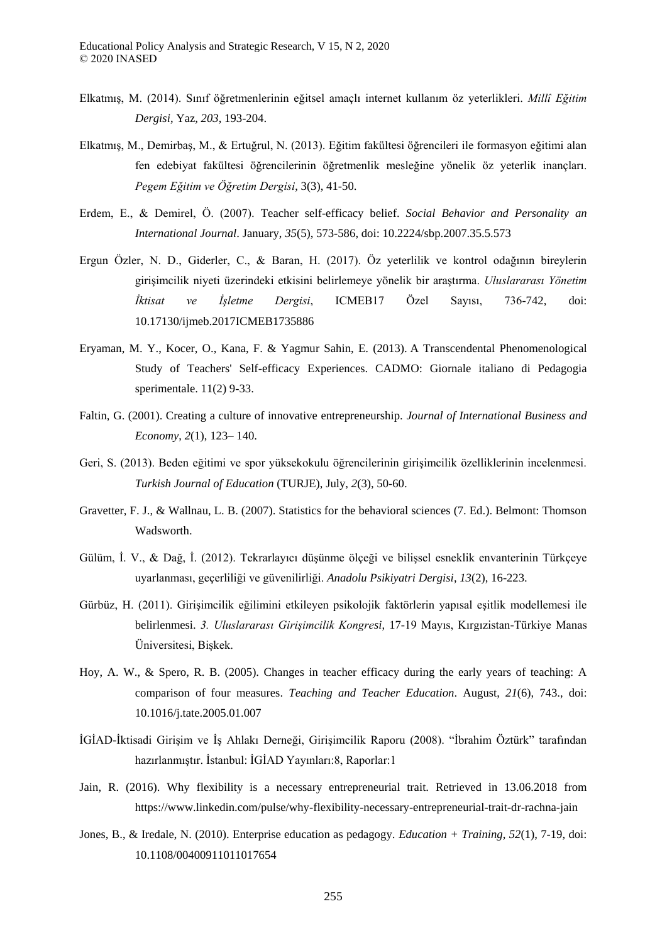- Elkatmış, M. (2014). Sınıf öğretmenlerinin eğitsel amaçlı internet kullanım öz yeterlikleri. *Millî Eğitim Dergisi*, Yaz, *203*, 193-204.
- Elkatmış, M., Demirbaş, M., & Ertuğrul, N. (2013). Eğitim fakültesi öğrencileri ile formasyon eğitimi alan fen edebiyat fakültesi öğrencilerinin öğretmenlik mesleğine yönelik öz yeterlik inançları. *Pegem Eğitim ve Öğretim Dergisi*, 3(3), 41-50.
- Erdem, E., & Demirel, Ö. (2007). Teacher self-efficacy belief. *Social Behavior and Personality an International Journal*. January, *35*(5), 573-586, doi: 10.2224/sbp.2007.35.5.573
- Ergun Özler, N. D., Giderler, C., & Baran, H. (2017). Öz yeterlilik ve kontrol odağının bireylerin girişimcilik niyeti üzerindeki etkisini belirlemeye yönelik bir araştırma. *Uluslararası Yönetim İktisat ve İşletme Dergisi*, ICMEB17 Özel Sayısı, 736-742, doi: 10.17130/ijmeb.2017ICMEB1735886
- Eryaman, M. Y., Kocer, O., Kana, F. & Yagmur Sahin, E. (2013). A Transcendental Phenomenological Study of Teachers' Self-efficacy Experiences. CADMO: Giornale italiano di Pedagogia sperimentale. 11(2) 9-33.
- Faltin, G. (2001). Creating a culture of innovative entrepreneurship. *Journal of International Business and Economy*, *2*(1), 123– 140.
- Geri, S. (2013). Beden eğitimi ve spor yüksekokulu öğrencilerinin girişimcilik özelliklerinin incelenmesi. *Turkish Journal of Education* (TURJE), July, *2*(3), 50-60.
- Gravetter, F. J., & Wallnau, L. B. (2007). Statistics for the behavioral sciences (7. Ed.). Belmont: Thomson Wadsworth.
- Gülüm, İ. V., & Dağ, İ. (2012). Tekrarlayıcı düşünme ölçeği ve bilişsel esneklik envanterinin Türkçeye uyarlanması, geçerliliği ve güvenilirliği. *Anadolu Psikiyatri Dergisi*, *13*(2), 16-223.
- Gürbüz, H. (2011). Girişimcilik eğilimini etkileyen psikolojik faktörlerin yapısal eşitlik modellemesi ile belirlenmesi. *3 Uluslararası Girişimcilik Kongresi*, 17-19 Mayıs, Kırgızistan-Türkiye Manas Üniversitesi, Bişkek.
- Hoy, A. W., & Spero, R. B. (2005). Changes in teacher efficacy during the early years of teaching: A comparison of four measures. *Teaching and Teacher Education*. August, *21*(6), 743., doi: 10.1016/j.tate.2005.01.007
- İGİAD-İktisadi Girişim ve İş Ahlakı Derneği, Girişimcilik Raporu (2008). "İbrahim Öztürk" tarafından hazırlanmıştır. İstanbul: İGİAD Yayınları:8, Raporlar:1
- Jain, R. (2016). Why flexibility is a necessary entrepreneurial trait. Retrieved in 13.06.2018 from https://www.linkedin.com/pulse/why-flexibility-necessary-entrepreneurial-trait-dr-rachna-jain
- Jones, B., & Iredale, N. (2010). Enterprise education as pedagogy. *Education + Training*, *52*(1), 7-19, doi: 10.1108/00400911011017654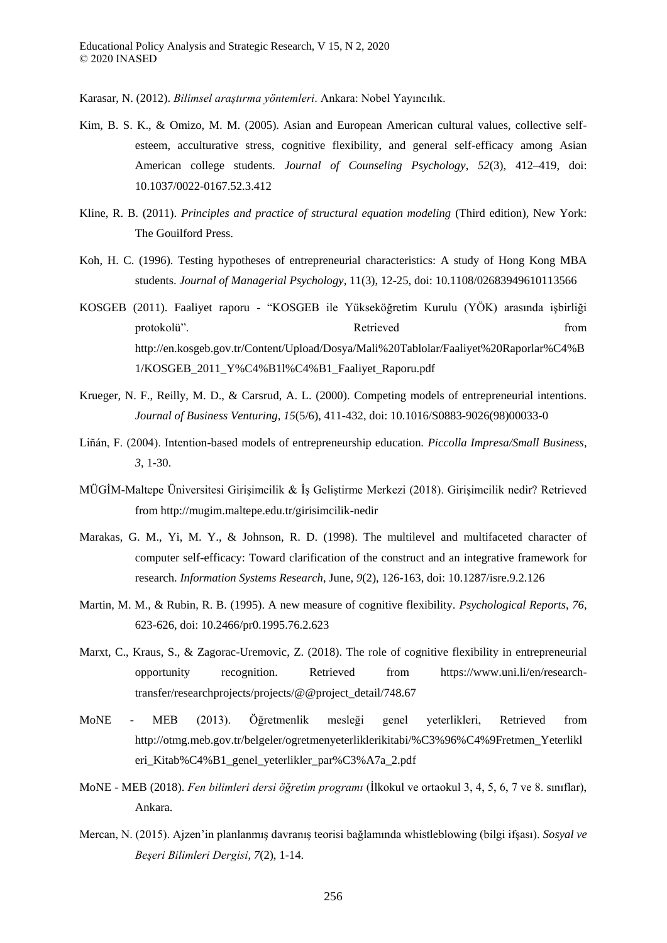Karasar, N. (2012). *Bilimsel arastırma yöntemleri*. Ankara: Nobel Yayıncılık.

- Kim, B. S. K., & Omizo, M. M. (2005). Asian and European American cultural values, collective selfesteem, acculturative stress, cognitive flexibility, and general self-efficacy among Asian American college students. *Journal of Counseling Psychology*, *52*(3), 412–419, doi: 10.1037/0022-0167.52.3.412
- Kline, R. B. (2011). *Principles and practice of structural equation modeling* (Third edition), New York: The Gouilford Press.
- Koh, H. C. (1996). Testing hypotheses of entrepreneurial characteristics: A study of Hong Kong MBA students. *Journal of Managerial Psychology,* 11(3), 12-25, doi: 10.1108/02683949610113566
- KOSGEB (2011). Faaliyet raporu "KOSGEB ile Yükseköğretim Kurulu (YÖK) arasında işbirliği protokolü". Retrieved from Retrieved from the settlement of the settlement of the settlement of the settlement of the settlement of the settlement of the settlement of the settlement of the settlement of the settlement of http://en.kosgeb.gov.tr/Content/Upload/Dosya/Mali%20Tablolar/Faaliyet%20Raporlar%C4%B 1/KOSGEB\_2011\_Y%C4%B1l%C4%B1\_Faaliyet\_Raporu.pdf
- Krueger, N. F., Reilly, M. D., & Carsrud, A. L. (2000). Competing models of entrepreneurial intentions. *Journal of Business Venturing*, *15*(5/6), 411-432, doi: 10.1016/S0883-9026(98)00033-0
- Liñán, F. (2004). Intention-based models of entrepreneurship education*. Piccolla Impresa/Small Business*, *3*, 1-30.
- MÜGİM-Maltepe Üniversitesi Girişimcilik & İş Geliştirme Merkezi (2018). Girişimcilik nedir? Retrieved from http://mugim.maltepe.edu.tr/girisimcilik-nedir
- Marakas, G. M., Yi, M. Y., & Johnson, R. D. (1998). The multilevel and multifaceted character of computer self-efficacy: Toward clarification of the construct and an integrative framework for research. *Information Systems Research*, June, *9*(2), 126-163, doi: 10.1287/isre.9.2.126
- Martin, M. M., & Rubin, R. B. (1995). A new measure of cognitive flexibility*. Psychological Reports*, *76*, 623-626, doi: 10.2466/pr0.1995.76.2.623
- Marxt, C., Kraus, S., & Zagorac-Uremovic, Z. (2018). The role of cognitive flexibility in entrepreneurial opportunity recognition. Retrieved from https://www.uni.li/en/researchtransfer/researchprojects/projects/@@project\_detail/748.67
- MoNE MEB (2013). Öğretmenlik mesleği genel yeterlikleri, Retrieved from http://otmg.meb.gov.tr/belgeler/ogretmenyeterliklerikitabi/%C3%96%C4%9Fretmen\_Yeterlikl eri\_Kitab%C4%B1\_genel\_yeterlikler\_par%C3%A7a\_2.pdf
- MoNE MEB (2018). *Fen bilimleri dersi ğretim programı* (İlkokul ve ortaokul 3, 4, 5, 6, 7 ve 8. sınıflar), Ankara.
- Mercan, N. (2015). Ajzen'in planlanmış davranış teorisi bağlamında whistleblowing (bilgi ifşası). *Sosyal ve Beşeri Bilimleri Dergisi*, *7*(2), 1-14.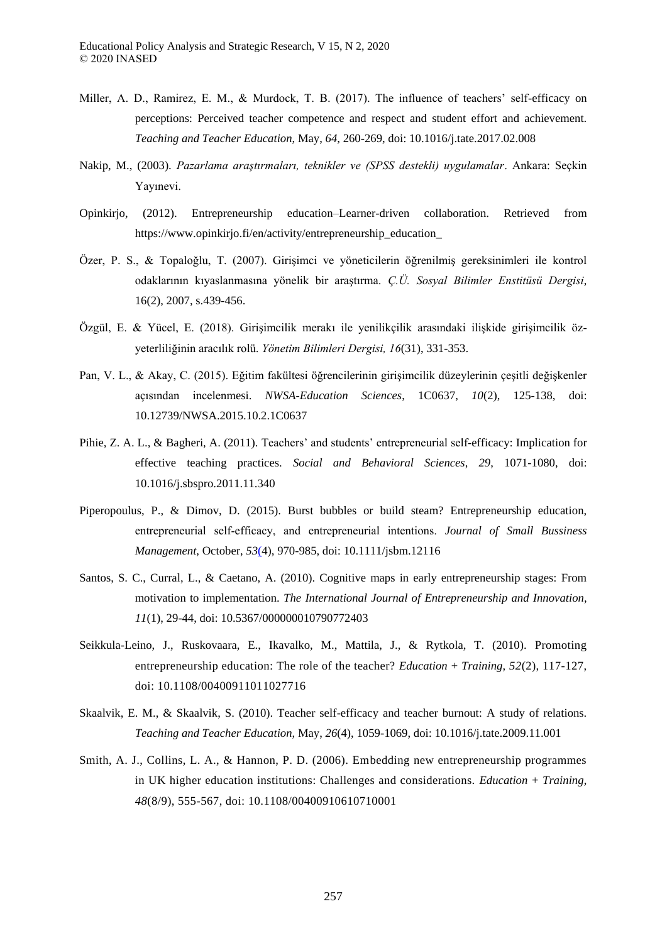- Miller, A. D., Ramirez, E. M., & Murdock, T. B. (2017). The influence of teachers' self-efficacy on perceptions: Perceived teacher competence and respect and student effort and achievement. *Teaching and Teacher Education*, May, *64*, 260-269, doi: 10.1016/j.tate.2017.02.008
- Nakip, M., (2003). *Pazarlama araştırmaları, teknikler ve SPSS destekli uygulamalar*. Ankara: Seçkin Yayınevi.
- Opinkirjo, (2012). Entrepreneurship education–Learner-driven collaboration. Retrieved from https://www.opinkirjo.fi/en/activity/entrepreneurship\_education\_
- Özer, P. S., & Topaloğlu, T. (2007). Girişimci ve yöneticilerin öğrenilmiş gereksinimleri ile kontrol odaklarının kıyaslanmasına yönelik bir araştırma. *Ç Ü Sosyal Bilimler Enstitüsü Dergisi*, 16(2), 2007, s.439-456.
- Özgül, E. & Yücel, E. (2018). Girişimcilik merakı ile yenilikçilik arasındaki ilişkide girişimcilik özyeterliliğinin aracılık rolü. *Yönetim Bilimleri Dergisi, 16*(31), 331-353.
- Pan, V. L., & Akay, C. (2015). Eğitim fakültesi öğrencilerinin girişimcilik düzeylerinin çeşitli değişkenler açısından incelenmesi. *NWSA-Education Sciences*, 1C0637, *10*(2), 125-138, doi: 10.12739/NWSA.2015.10.2.1C0637
- Pihie, Z. A. L., & Bagheri, A. (2011). Teachers' and students' entrepreneurial self-efficacy: Implication for effective teaching practices. *Social and Behavioral Sciences*, *29*, 1071-1080, doi: 10.1016/j.sbspro.2011.11.340
- Piperopoulus, P., & Dimov, D. (2015). Burst bubbles or build steam? Entrepreneurship education, entrepreneurial self‐efficacy, and entrepreneurial intentions. *Journal of Small Bussiness Management*, October, *53*[\(4\)](https://onlinelibrary.wiley.com/toc/1540627x/2015/53/4), 970-985, doi: 10.1111/jsbm.12116
- Santos, S. C., Curral, L., & Caetano, A. (2010). Cognitive maps in early entrepreneurship stages: From motivation to implementation. *The International Journal of Entrepreneurship and Innovation*, *11*(1), 29-44, doi: 10.5367/000000010790772403
- Seikkula-Leino, J., Ruskovaara, E., Ikavalko, M., Mattila, J., & Rytkola, T. (2010). Promoting entrepreneurship education: The role of the teacher? *Education + Training*, *52*(2), 117-127, doi: 10.1108/00400911011027716
- Skaalvik, E. M., & Skaalvik, S. (2010). Teacher self-efficacy and teacher burnout: A study of relations. *Teaching and Teacher Education*, May, *26*(4), 1059-1069, doi: 10.1016/j.tate.2009.11.001
- Smith, A. J., Collins, L. A., & Hannon, P. D. (2006). Embedding new entrepreneurship programmes in UK higher education institutions: Challenges and considerations. *Education + Training*, *48*(8/9), 555-567, doi: 10.1108/00400910610710001